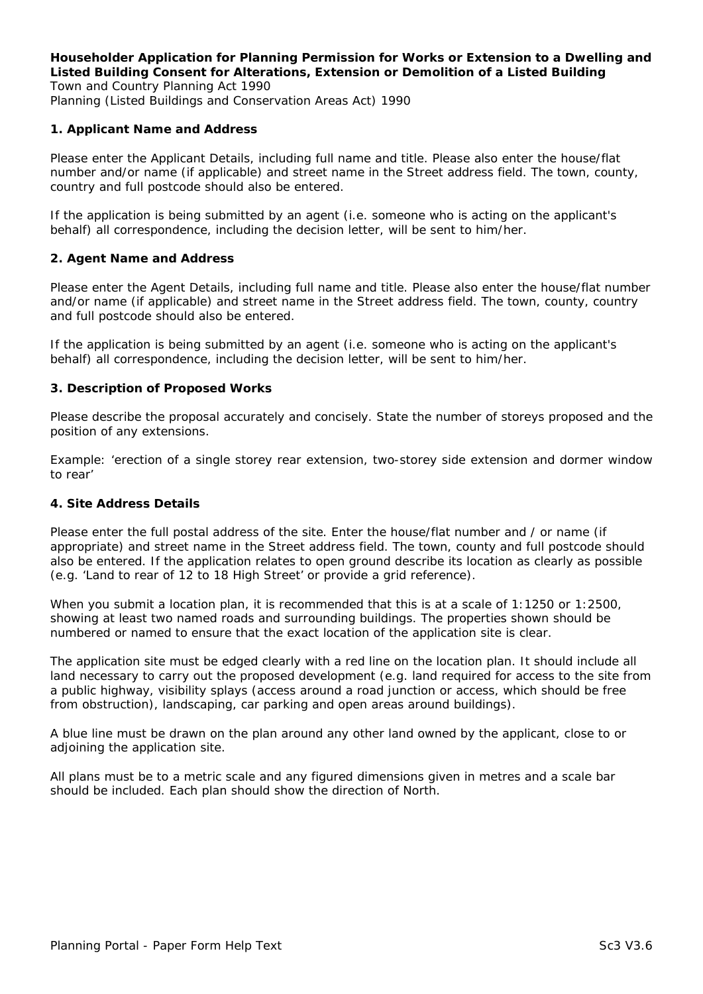### **Householder Application for Planning Permission for Works or Extension to a Dwelling and Listed Building Consent for Alterations, Extension or Demolition of a Listed Building**  *Town and Country Planning Act 1990*

*Planning (Listed Buildings and Conservation Areas Act) 1990* 

### **1. Applicant Name and Address**

Please enter the Applicant Details, including full name and title. Please also enter the house/flat number and/or name (if applicable) and street name in the Street address field. The town, county, country and full postcode should also be entered.

If the application is being submitted by an agent (i.e. someone who is acting on the applicant's behalf) all correspondence, including the decision letter, will be sent to him/her.

### **2. Agent Name and Address**

Please enter the Agent Details, including full name and title. Please also enter the house/flat number and/or name (if applicable) and street name in the Street address field. The town, county, country and full postcode should also be entered.

If the application is being submitted by an agent (i.e. someone who is acting on the applicant's behalf) all correspondence, including the decision letter, will be sent to him/her.

### **3. Description of Proposed Works**

Please describe the proposal accurately and concisely. State the number of storeys proposed and the position of any extensions.

Example: '*erection of a single storey rear extension, two-storey side extension and dormer window to rear'*

### **4. Site Address Details**

Please enter the full postal address of the site. Enter the house/flat number and / or name (if appropriate) and street name in the Street address field. The town, county and full postcode should also be entered. If the application relates to open ground describe its location as clearly as possible (e.g. '*Land to rear of 12 to 18 High Street'* or provide a grid reference).

When you submit a location plan, it is recommended that this is at a scale of 1:1250 or 1:2500, showing at least two named roads and surrounding buildings. The properties shown should be numbered or named to ensure that the exact location of the application site is clear.

The application site must be edged clearly with a red line on the location plan. It should include all land necessary to carry out the proposed development (e.g. land required for access to the site from a public highway, visibility splays (access around a road junction or access, which should be free from obstruction), landscaping, car parking and open areas around buildings).

A blue line must be drawn on the plan around any other land owned by the applicant, close to or adjoining the application site.

All plans must be to a metric scale and any figured dimensions given in metres and a scale bar should be included. Each plan should show the direction of North.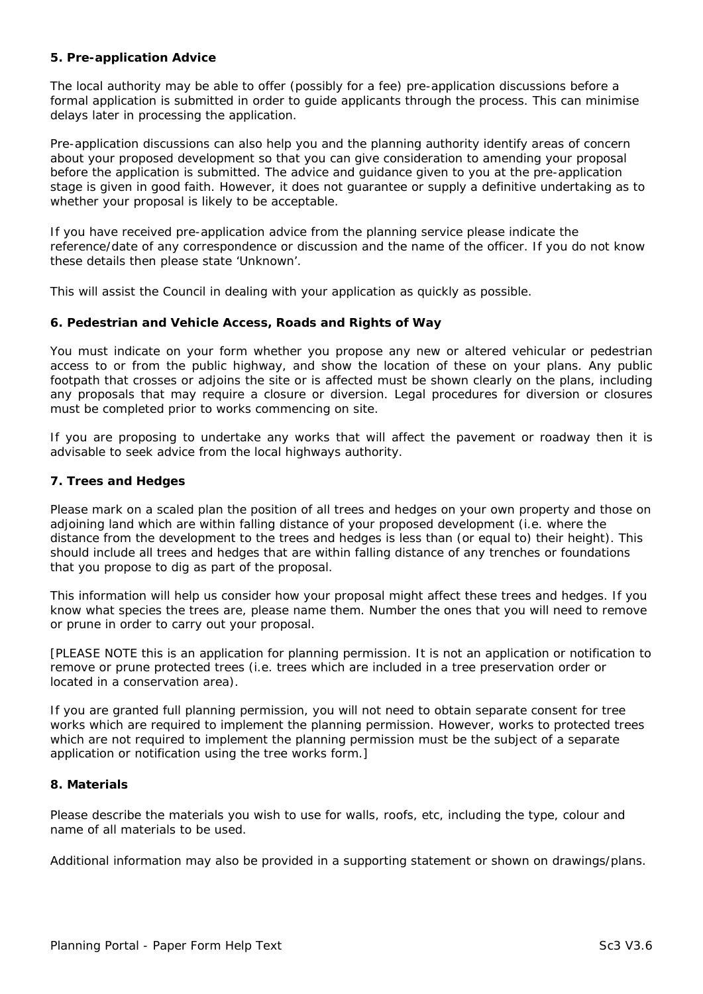### **5. Pre-application Advice**

The local authority may be able to offer (possibly for a fee) pre-application discussions before a formal application is submitted in order to guide applicants through the process. This can minimise delays later in processing the application.

Pre-application discussions can also help you and the planning authority identify areas of concern about your proposed development so that you can give consideration to amending your proposal before the application is submitted. The advice and guidance given to you at the pre-application stage is given in good faith. However, it does not guarantee or supply a definitive undertaking as to whether your proposal is likely to be acceptable.

If you have received pre-application advice from the planning service please indicate the reference/date of any correspondence or discussion and the name of the officer. If you do not know these details then please state '*Unknown*'.

This will assist the Council in dealing with your application as quickly as possible.

### **6. Pedestrian and Vehicle Access, Roads and Rights of Way**

You must indicate on your form whether you propose any new or altered vehicular or pedestrian access to or from the public highway, and show the location of these on your plans. Any public footpath that crosses or adjoins the site or is affected must be shown clearly on the plans, including any proposals that may require a closure or diversion. Legal procedures for diversion or closures must be completed prior to works commencing on site.

If you are proposing to undertake any works that will affect the pavement or roadway then it is advisable to seek advice from the local highways authority.

### **7. Trees and Hedges**

Please mark on a scaled plan the position of all trees and hedges on your own property and those on adjoining land which are within falling distance of your proposed development (i.e. where the distance from the development to the trees and hedges is less than (or equal to) their height). This should include all trees and hedges that are within falling distance of any trenches or foundations that you propose to dig as part of the proposal.

This information will help us consider how your proposal might affect these trees and hedges. If you know what species the trees are, please name them. Number the ones that you will need to remove or prune in order to carry out your proposal.

[PLEASE NOTE this is an application for planning permission. It is not an application or notification to remove or prune protected trees (i.e. trees which are included in a tree preservation order or located in a conservation area).

If you are granted full planning permission, you will not need to obtain separate consent for tree works which are required to implement the planning permission. However, works to protected trees which are not required to implement the planning permission must be the subject of a separate application or notification using the tree works form.]

### **8. Materials**

Please describe the materials you wish to use for walls, roofs, etc, including the type, colour and name of all materials to be used.

Additional information may also be provided in a supporting statement or shown on drawings/plans.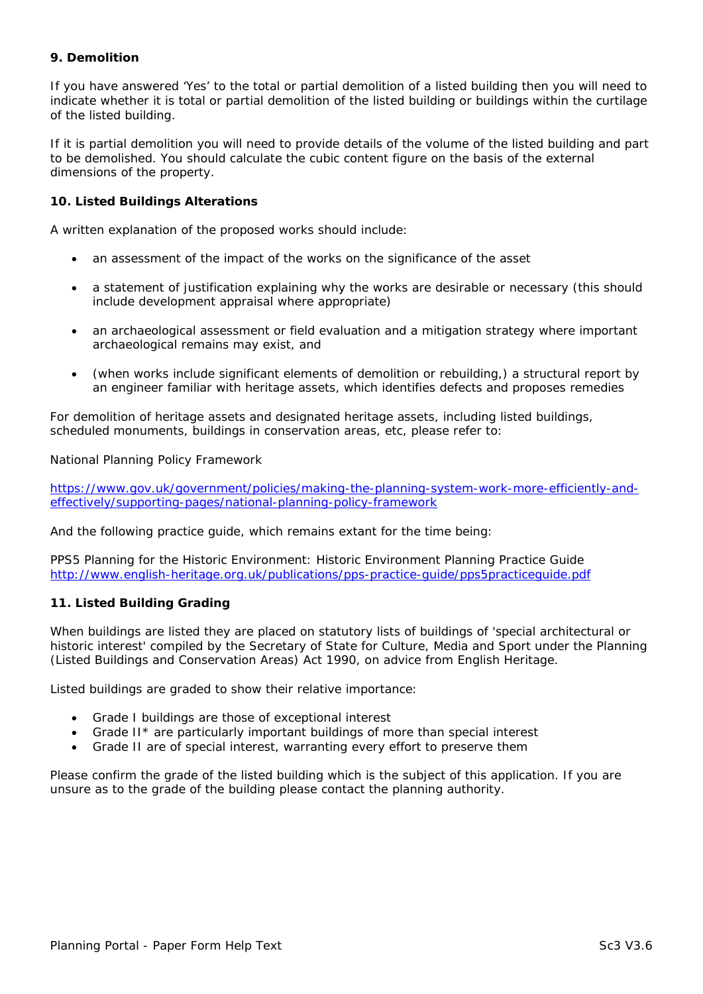#### **9. Demolition**

If you have answered '*Yes*' to the total or partial demolition of a listed building then you will need to indicate whether it is total or partial demolition of the listed building or buildings within the curtilage of the listed building.

If it is partial demolition you will need to provide details of the volume of the listed building and part to be demolished. You should calculate the cubic content figure on the basis of the external dimensions of the property.

# **10. Listed Buildings Alterations**

A written explanation of the proposed works should include:

- an assessment of the impact of the works on the significance of the asset
- a statement of justification explaining why the works are desirable or necessary (this should include development appraisal where appropriate)
- an archaeological assessment or field evaluation and a mitigation strategy where important archaeological remains may exist, and
- (when works include significant elements of demolition or rebuilding,) a structural report by an engineer familiar with heritage assets, which identifies defects and proposes remedies

For demolition of heritage assets and designated heritage assets, including listed buildings, scheduled monuments, buildings in conservation areas, etc, please refer to:

National Planning Policy Framework

https://www.gov.uk/government/policies/making-the-planning-system-work-more-efficiently-andeffectively/supporting-pages/national-planning-policy-framework

And the following practice guide, which remains extant for the time being:

[PPS5 Planning for the Historic Environment: Historic Environment Planning Practice Guide](https://www.gov.uk/government/policies/making-the-planning-system-work-more-efficiently-and-effectively/supporting-pages/national-planning-policy-framework)  http://www.english-heritage.org.uk/publications/pps-practice-guide/pps5practiceguide.pdf

# **11. Listed Building Grading**

[When buildings are listed they are placed on statutory lists of buildings of 'special architectu](http://www.english-heritage.org.uk/publications/pps-practice-guide/pps5practiceguide.pdf)ral or historic interest' compiled by the Secretary of State for Culture, Media and Sport under the *Planning (Listed Buildings and Conservation Areas) Act 1990*, on advice from English Heritage.

Listed buildings are graded to show their relative importance:

- Grade I buildings are those of exceptional interest
- Grade II\* are particularly important buildings of more than special interest
- Grade II are of special interest, warranting every effort to preserve them

Please confirm the grade of the listed building which is the subject of this application. If you are unsure as to the grade of the building please contact the planning authority.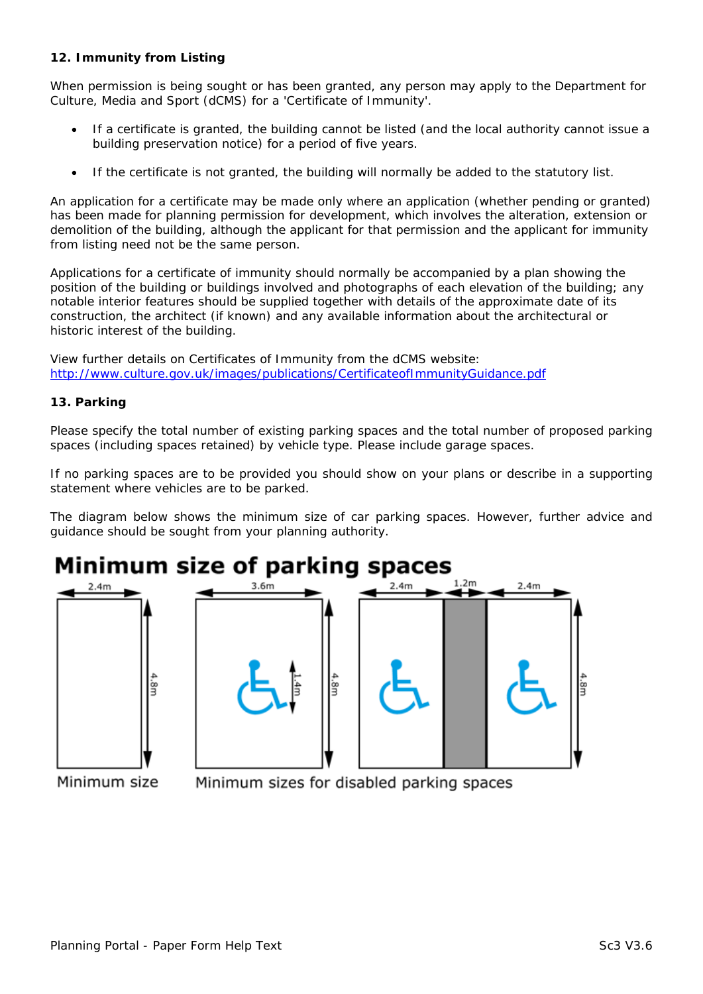### **12. Immunity from Listing**

When permission is being sought or has been granted, any person may apply to the Department for Culture, Media and Sport (dCMS) for a 'Certificate of Immunity'.

- If a certificate is granted, the building cannot be listed (and the local authority cannot issue a building preservation notice) for a period of five years.
- If the certificate is not granted, the building will normally be added to the statutory list.

An application for a certificate may be made only where an application (whether pending or granted) has been made for planning permission for development, which involves the alteration, extension or demolition of the building, although the applicant for that permission and the applicant for immunity from listing need not be the same person.

Applications for a certificate of immunity should normally be accompanied by a plan showing the position of the building or buildings involved and photographs of each elevation of the building; any notable interior features should be supplied together with details of the approximate date of its construction, the architect (if known) and any available information about the architectural or historic interest of the building.

View further details on Certificates of Immunity from the dCMS website: http://www.culture.gov.uk/images/publications/CertificateofImmunityGuidance.pdf

### **13. Parking**

[Please specify the total number of existing parking spaces and the total number of](http://www.culture.gov.uk/images/publications/CertificateofImmunityGuidance.pdf) proposed parking spaces (including spaces retained) by vehicle type. Please include garage spaces.

If no parking spaces are to be provided you should show on your plans or describe in a supporting statement where vehicles are to be parked.

The diagram below shows the minimum size of car parking spaces. However, further advice and guidance should be sought from your planning authority.

# Minimum size of parking spaces





Minimum size

Minimum sizes for disabled parking spaces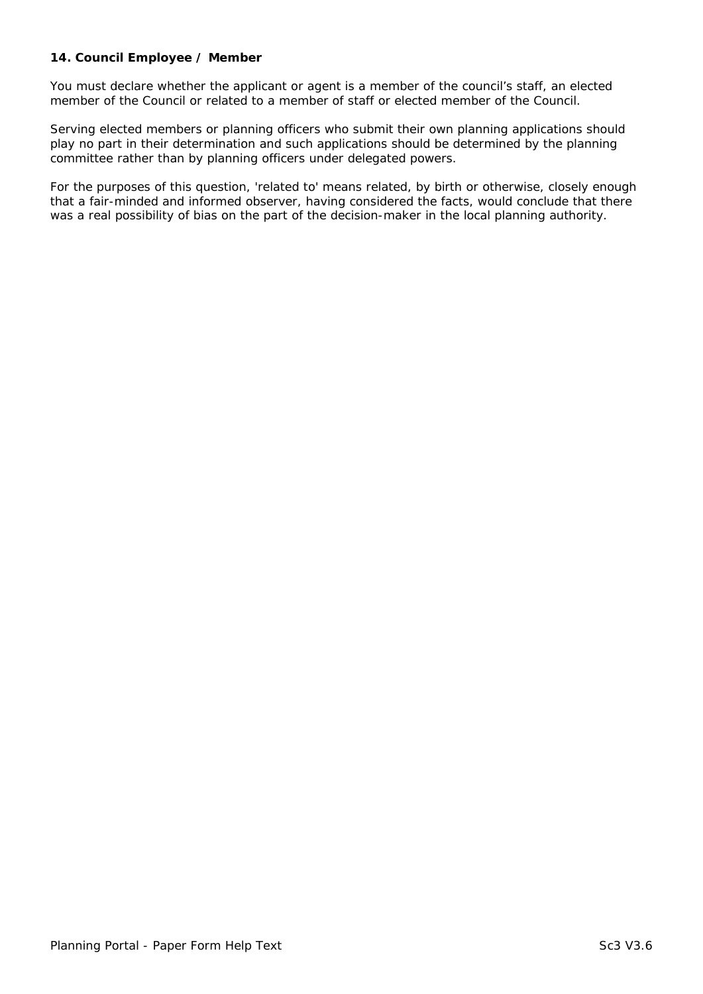### **14. Council Employee / Member**

You must declare whether the applicant or agent is a member of the council's staff, an elected member of the Council or related to a member of staff or elected member of the Council.

Serving elected members or planning officers who submit their own planning applications should play no part in their determination and such applications should be determined by the planning committee rather than by planning officers under delegated powers.

For the purposes of this question, 'related to' means related, by birth or otherwise, closely enough that a fair-minded and informed observer, having considered the facts, would conclude that there was a real possibility of bias on the part of the decision-maker in the local planning authority.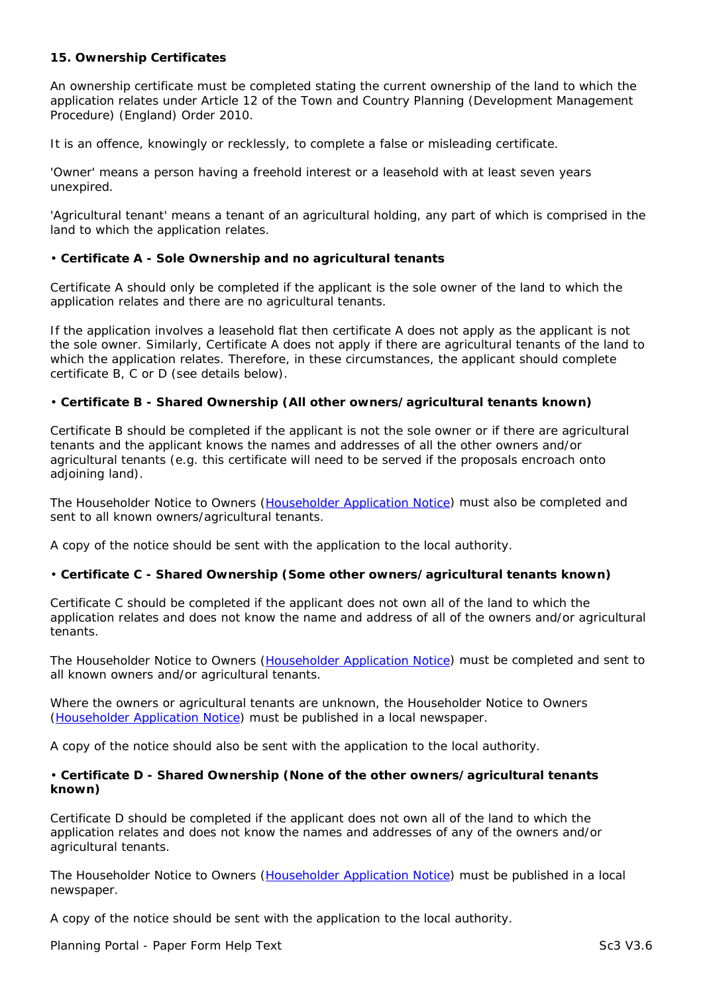### **15. Ownership Certificates**

An ownership certificate must be completed stating the current ownership of the land to which the application relates under Article 12 of the Town and Country Planning (Development Management Procedure) (England) Order 2010.

It is an offence, knowingly or recklessly, to complete a false or misleading certificate.

'Owner' means a person having a freehold interest or a leasehold with at least seven years unexpired.

'Agricultural tenant' means a tenant of an agricultural holding, any part of which is comprised in the land to which the application relates.

# • **Certificate A - Sole Ownership and no agricultural tenants**

Certificate A should only be completed if the applicant is the sole owner of the land to which the application relates and there are no agricultural tenants.

If the application involves a leasehold flat then certificate A does not apply as the applicant is not the sole owner. Similarly, Certificate A does not apply if there are agricultural tenants of the land to which the application relates. Therefore, in these circumstances, the applicant should complete certificate B, C or D (see details below).

# • **Certificate B - Shared Ownership (All other owners/agricultural tenants known)**

Certificate B should be completed if the applicant is not the sole owner or if there are agricultural tenants and the applicant knows the names and addresses of all the other owners and/or agricultural tenants (e.g. this certificate will need to be served if the proposals encroach onto adjoining land).

The Householder Notice to Owners (Householder Application Notice) must also be completed and sent to all known owners/agricultural tenants.

A copy of the notice should be sent with the application to the local authority.

# • **Certificate C - Shared Ownersh[ip \(Some other owners/agri](http://www.planningportal.gov.uk/uploads/householder_development_application_article6notice.pdf)cultural tenants known)**

Certificate C should be completed if the applicant does not own all of the land to which the application relates and does not know the name and address of all of the owners and/or agricultural tenants.

The Householder Notice to Owners (Householder Application Notice) must be completed and sent to all known owners and/or agricultural tenants.

Where the owners or agricultural tenants are unknown, the Householder Notice to Owners (Householder Application Notice) m[ust be published in a local news](http://www.planningportal.gov.uk/uploads/householder_development_application_article6notice.pdf)paper.

A copy of the notice should also be sent with the application to the local authority.

## • **[Certificate D - Shared Owne](http://www.planningportal.gov.uk/uploads/householder_development_application_article6notice.pdf)rship (None of the other owners/agricultural tenants known)**

Certificate D should be completed if the applicant does not own all of the land to which the application relates and does not know the names and addresses of any of the owners and/or agricultural tenants.

The Householder Notice to Owners (Householder Application Notice) must be published in a local newspaper.

A copy of the notice should be sent with the application to the local authority.

Planning Portal - Paper Form Help T[ext](http://www.planningportal.gov.uk/uploads/householder_development_application_article6notice.pdf) Sc3 V3.6 Sc3 V3.6